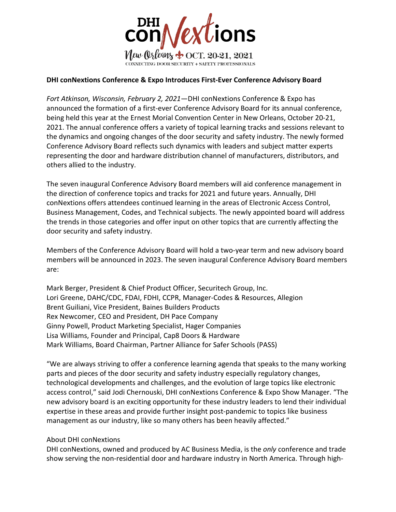

## **DHI conNextions Conference & Expo Introduces First-Ever Conference Advisory Board**

*Fort Atkinson, Wisconsin, February 2, 2021*—DHI conNextions Conference & Expo has announced the formation of a first-ever Conference Advisory Board for its annual conference, being held this year at the Ernest Morial Convention Center in New Orleans, October 20-21, 2021. The annual conference offers a variety of topical learning tracks and sessions relevant to the dynamics and ongoing changes of the door security and safety industry. The newly formed Conference Advisory Board reflects such dynamics with leaders and subject matter experts representing the door and hardware distribution channel of manufacturers, distributors, and others allied to the industry.

The seven inaugural Conference Advisory Board members will aid conference management in the direction of conference topics and tracks for 2021 and future years. Annually, DHI conNextions offers attendees continued learning in the areas of Electronic Access Control, Business Management, Codes, and Technical subjects. The newly appointed board will address the trends in those categories and offer input on other topics that are currently affecting the door security and safety industry.

Members of the Conference Advisory Board will hold a two-year term and new advisory board members will be announced in 2023. The seven inaugural Conference Advisory Board members are:

Mark Berger, President & Chief Product Officer, Securitech Group, Inc. Lori Greene, DAHC/CDC, FDAI, FDHI, CCPR, Manager-Codes & Resources, Allegion Brent Guiliani, Vice President, Baines Builders Products Rex Newcomer, CEO and President, DH Pace Company Ginny Powell, Product Marketing Specialist, Hager Companies Lisa Williams, Founder and Principal, Cap8 Doors & Hardware Mark Williams, Board Chairman, Partner Alliance for Safer Schools (PASS)

"We are always striving to offer a conference learning agenda that speaks to the many working parts and pieces of the door security and safety industry especially regulatory changes, technological developments and challenges, and the evolution of large topics like electronic access control," said Jodi Chernouski, DHI conNextions Conference & Expo Show Manager. "The new advisory board is an exciting opportunity for these industry leaders to lend their individual expertise in these areas and provide further insight post-pandemic to topics like business management as our industry, like so many others has been heavily affected."

## About DHI conNextions

DHI conNextions, owned and produced by AC Business Media, is the *only* conference and trade show serving the non-residential door and hardware industry in North America. Through high